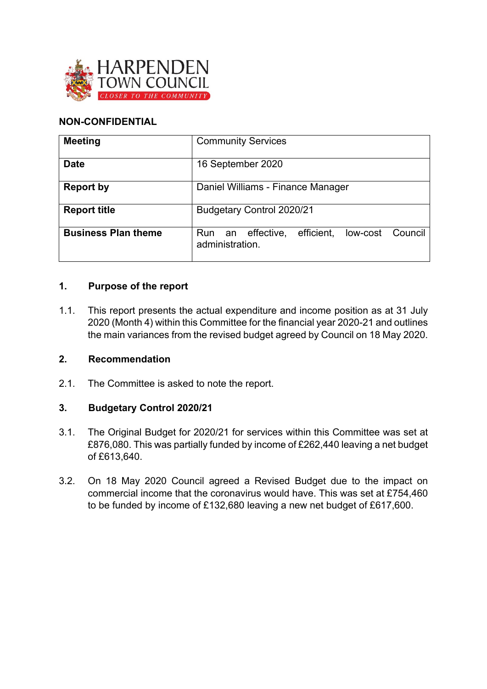

# **NON-CONFIDENTIAL**

| <b>Meeting</b>             | <b>Community Services</b>                                              |  |  |  |  |  |  |  |
|----------------------------|------------------------------------------------------------------------|--|--|--|--|--|--|--|
| <b>Date</b>                | 16 September 2020                                                      |  |  |  |  |  |  |  |
| <b>Report by</b>           | Daniel Williams - Finance Manager                                      |  |  |  |  |  |  |  |
| <b>Report title</b>        | <b>Budgetary Control 2020/21</b>                                       |  |  |  |  |  |  |  |
| <b>Business Plan theme</b> | efficient,<br>Run an effective,<br>low-cost Council<br>administration. |  |  |  |  |  |  |  |

## **1. Purpose of the report**

1.1. This report presents the actual expenditure and income position as at 31 July 2020 (Month 4) within this Committee for the financial year 2020-21 and outlines the main variances from the revised budget agreed by Council on 18 May 2020.

## **2. Recommendation**

2.1. The Committee is asked to note the report.

## **3. Budgetary Control 2020/21**

- 3.1. The Original Budget for 2020/21 for services within this Committee was set at £876,080. This was partially funded by income of £262,440 leaving a net budget of £613,640.
- 3.2. On 18 May 2020 Council agreed a Revised Budget due to the impact on commercial income that the coronavirus would have. This was set at £754,460 to be funded by income of £132,680 leaving a new net budget of £617,600.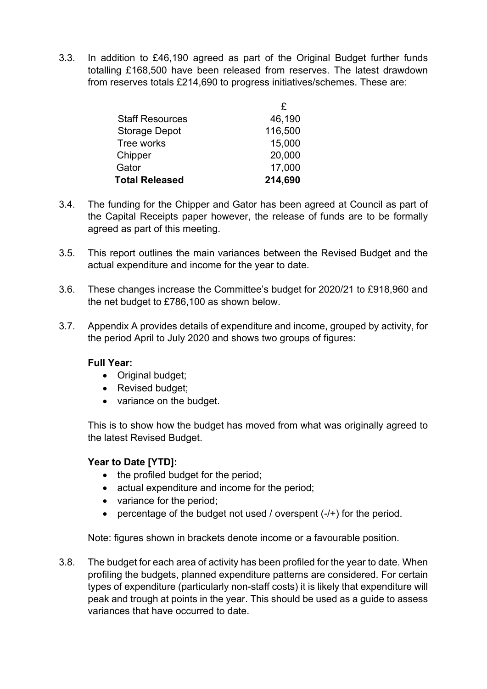3.3. In addition to £46,190 agreed as part of the Original Budget further funds totalling £168,500 have been released from reserves. The latest drawdown from reserves totals £214,690 to progress initiatives/schemes. These are:

|                        | £       |
|------------------------|---------|
| <b>Staff Resources</b> | 46,190  |
| <b>Storage Depot</b>   | 116,500 |
| Tree works             | 15,000  |
| Chipper                | 20,000  |
| Gator                  | 17,000  |
| <b>Total Released</b>  | 214,690 |

- 3.4. The funding for the Chipper and Gator has been agreed at Council as part of the Capital Receipts paper however, the release of funds are to be formally agreed as part of this meeting.
- 3.5. This report outlines the main variances between the Revised Budget and the actual expenditure and income for the year to date.
- 3.6. These changes increase the Committee's budget for 2020/21 to £918,960 and the net budget to £786,100 as shown below.
- 3.7. Appendix A provides details of expenditure and income, grouped by activity, for the period April to July 2020 and shows two groups of figures:

### **Full Year:**

- Original budget;
- Revised budget;
- variance on the budget.

This is to show how the budget has moved from what was originally agreed to the latest Revised Budget.

# **Year to Date [YTD]:**

- the profiled budget for the period;
- actual expenditure and income for the period;
- variance for the period;
- percentage of the budget not used / overspent  $(-/+)$  for the period.

Note: figures shown in brackets denote income or a favourable position.

3.8. The budget for each area of activity has been profiled for the year to date. When profiling the budgets, planned expenditure patterns are considered. For certain types of expenditure (particularly non-staff costs) it is likely that expenditure will peak and trough at points in the year. This should be used as a guide to assess variances that have occurred to date.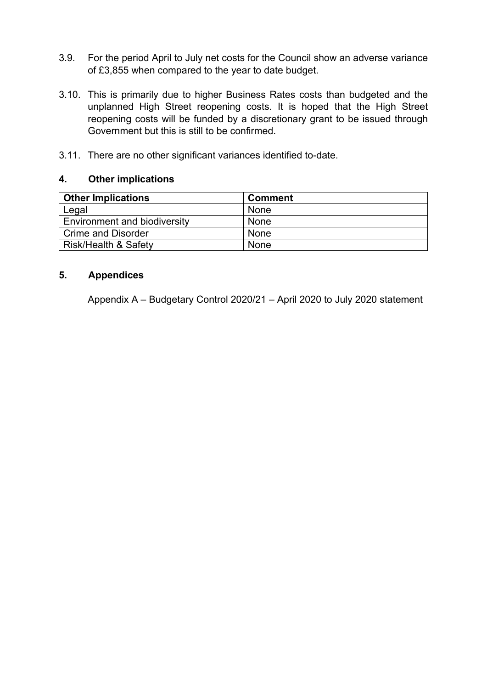- 3.9. For the period April to July net costs for the Council show an adverse variance of £3,855 when compared to the year to date budget.
- 3.10. This is primarily due to higher Business Rates costs than budgeted and the unplanned High Street reopening costs. It is hoped that the High Street reopening costs will be funded by a discretionary grant to be issued through Government but this is still to be confirmed.
- 3.11. There are no other significant variances identified to-date.

#### **4. Other implications**

| <b>Other Implications</b>       | <b>Comment</b> |
|---------------------------------|----------------|
| Legal                           | None           |
| Environment and biodiversity    | None           |
| Crime and Disorder              | None           |
| <b>Risk/Health &amp; Safety</b> | None           |

#### **5. Appendices**

Appendix A – Budgetary Control 2020/21 – April 2020 to July 2020 statement